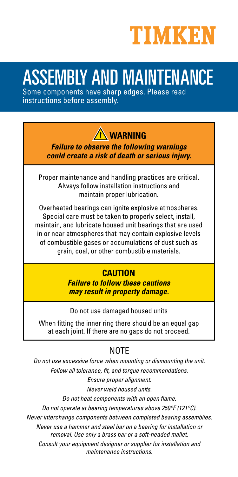

# ASSEMBLY AND MAINTENANCE

Some components have sharp edges. Please read instructions before assembly.

**WARNING**

**Failure to observe the following warnings could create a risk of death or serious injury.**

Proper maintenance and handling practices are critical. Always follow installation instructions and maintain proper lubrication.

Overheated bearings can ignite explosive atmospheres. Special care must be taken to properly select, install, maintain, and lubricate housed unit bearings that are used in or near atmospheres that may contain explosive levels of combustible gases or accumulations of dust such as grain, coal, or other combustible materials.

# **CAUTION**

**Failure to follow these cautions may result in property damage.**

Do not use damaged housed units

When fitting the inner ring there should be an equal gap at each joint. If there are no gaps do not proceed.

# NOTE

Do not use excessive force when mounting or dismounting the unit. Follow all tolerance, fit, and torque recommendations.

Ensure proper alignment.

Never weld housed units.

Do not heat components with an open flame.

Do not operate at bearing temperatures above 250°F (121°C).

Never interchange components between completed bearing assemblies.

Never use a hammer and steel bar on a bearing for installation or removal. Use only a brass bar or a soft-headed mallet.

Consult your equipment designer or supplier for installation and maintenance instructions.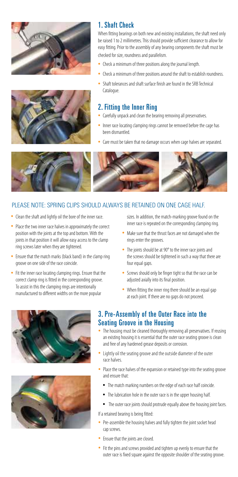



#### 1. Shaft Check

When fitting bearings on both new and existing installations, the shaft need only be raised 1 to 2 millimetres. This should provide sufficient clearance to allow for easy fitting. Prior to the assembly of any bearing components the shaft must be checked for size, roundness and parallelism.

- Check a minimum of three positions along the journal length.
- Check a minimum of three positions around the shaft to establish roundness.
- Shaft tolerances and shaft surface finish are found in the SRB Technical Catalogue.

#### 2. Fitting the Inner Ring

- Carefully unpack and clean the bearing removing all preservatives.
- Inner race locating clamping rings cannot be removed before the cage has been dismantled.
- Care must be taken that no damage occurs when cage halves are separated.



#### PLEASE NOTE: SPRING CLIPS SHOULD ALWAYS BE RETAINED ON ONE CAGE HALF.

- Clean the shaft and lightly oil the bore of the inner race.
- Place the two inner race halves in approximately the correct position with the joints at the top and bottom. With the joints in that position it will allow easy access to the clamp ring screws later when they are tightened.
- Ensure that the match marks (black band) in the clamp ring groove on one side of the race coincide.
- Fit the inner race locating clamping rings. Ensure that the correct clamp ring is fitted in the corresponding groove. To assist in this the clamping rings are intentionally manufactured to different widths on the more popular

 sizes. In addition, the match-marking groove found on the inner race is repeated on the corresponding clamping ring.

- Make sure that the thrust faces are not damaged when the rings enter the grooves.
- The joints should be at 90° to the inner race joints and the screws should be tightened in such a way that there are four equal gaps.
- Screws should only be finger tight so that the race can be adjusted axially into its final position.
- When fitting the inner ring there should be an equal gap at each joint. If there are no gaps do not proceed.





#### 3. Pre-Assembly of the Outer Race into the Seating Groove in the Housing

- The housing must be cleaned thoroughly removing all preservatives. If reusing an existing housing it is essential that the outer race seating groove is clean and free of any hardened grease deposits or corrosion.
- Lightly oil the seating groove and the outside diameter of the outer race halves.
- Place the race halves of the expansion or retained type into the seating groove and ensure that:
	- The match marking numbers on the edge of each race half coincide.
	- The lubrication hole in the outer race is in the upper housing half.
	- The outer race joints should protrude equally above the housing joint faces.

If a retained bearing is being fitted:

- Pre-assemble the housing halves and fully tighten the joint socket head cap screws.
- Ensure that the joints are closed.
- Fit the pins and screws provided and tighten up evenly to ensure that the outer race is fixed square against the opposite shoulder of the seating groove.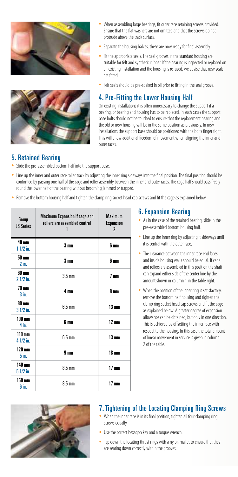



- When assembling large bearings, fit outer race retaining screws provided. Ensure that the flat washers are not omitted and that the screws do not protrude above the track surface.
- Separate the housing halves, these are now ready for final assembly.
- Fit the appropriate seals. The seal grooves in the standard housing are suitable for felt and synthetic rubber. If the bearing is inspected or replaced on an existing installation and the housing is re-used, we advise that new seals are fitted.
- Felt seals should be pre-soaked in oil prior to fitting in the seal groove.

#### 4. Pre-Fitting the Lower Housing Half

On existing installations it is often unnecessary to change the support if a bearing, or bearing and housing has to be replaced. In such cases the support base bolts should not be touched to ensure that the replacement bearing and the old or new housing will be in the same position as previously. In new installations the support base should be positioned with the bolts finger tight. This will allow additional freedom of movement when aligning the inner and outer races.

#### 5. Retained Bearing

- Slide the pre-assembled bottom half into the support base.
- Line up the inner and outer race roller track by adjusting the inner ring sideways into the final position. The final position should be confirmed by passing one half of the cage and roller assembly between the inner and outer races. The cage half should pass freely round the lower half of the bearing without becoming jammed or trapped.
- Remove the bottom housing half and tighten the clamp ring socket head cap screws and fit the cage as explained below.

| Group<br><b>IS Series</b>     | <b>Maximum Expansion if cage and</b><br>rollers are assembled central<br>1 | <b>Maximum</b><br><b>Expansion</b><br>$\boldsymbol{\eta}$ |  |  |
|-------------------------------|----------------------------------------------------------------------------|-----------------------------------------------------------|--|--|
| <b>40 mm</b><br>$11/2$ in.    | 3 <sub>mm</sub>                                                            | 6 mm                                                      |  |  |
| 50 mm<br>$2$ in.              | 3 <sub>mm</sub>                                                            | 6 mm                                                      |  |  |
| 60 mm<br>2 1/2 in.            | $3.5 \text{ mm}$                                                           | 7 <sub>mm</sub>                                           |  |  |
| <b>70 mm</b><br>$3$ in.       | 4 mm                                                                       | 8 mm                                                      |  |  |
| 80 mm<br>$31/2$ in.           | $6.5 \text{ mm}$                                                           | $13 \text{ mm}$                                           |  |  |
| $100 \text{ mm}$<br>$4$ in.   | 6 mm                                                                       | $12 \text{ mm}$                                           |  |  |
| $110 \text{ mm}$<br>4 1/2 in. | $6.5 \text{ mm}$                                                           | $13 \text{ mm}$                                           |  |  |
| $120 \text{ mm}$<br>5in.      | 9 <sub>mm</sub>                                                            | 18 <sub>mm</sub>                                          |  |  |
| 140 mm<br>$51/2$ in.          | $8.5 \text{ mm}$                                                           | 17 <sub>mm</sub>                                          |  |  |
| 160 mm<br>6 in.               | $8.5 \text{ mm}$                                                           | 17 <sub>mm</sub>                                          |  |  |

## 6. Expansion Bearing

- As in the case of the retained bearing, slide in the pre-assembled bottom housing half.
- Line up the inner ring by adjusting it sideways until it is central with the outer race.
- The clearance between the inner race end faces and inside housing walls should be equal. If cage and rollers are assembled in this position the shaft can expand either side of the center line by the amount shown in column 1 in the table right.
- When the position of the inner ring is satisfactory, remove the bottom half housing and tighten the clamp ring socket head cap screws and fit the cage as explained below. A greater degree of expansion allowance can be obtained, but only in one direction. This is achieved by offsetting the inner race with respect to the housing. In this case the total amount of linear movement in service is given in column 2 of the table.



#### 7. Tightening of the Locating Clamping Ring Screws

- When the inner race is in its final position, tighten all four clamping ring screws equally.
- Use the correct hexagon key and a torque wrench.
- Tap down the locating thrust rings with a nylon mallet to ensure that they are seating down correctly within the grooves.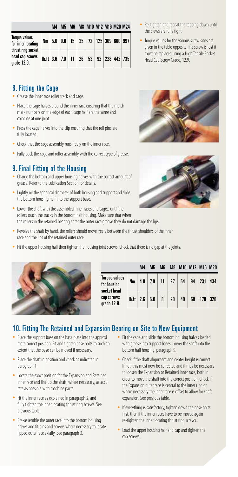|                                                                                                    | M4 |  | M5 M6 M8 M10 M12 M16 M20 M24                                                           |  |  |
|----------------------------------------------------------------------------------------------------|----|--|----------------------------------------------------------------------------------------|--|--|
| <b>Torque values</b><br>for inner locating<br>thrust ring socket<br>head cap screws<br>grade 12.9. |    |  | Nm   5.0   9.0   15   35   72   125   309   600   997                                  |  |  |
|                                                                                                    |    |  | $\vert \text{b} \cdot \text{ft} \vert$ 3.6   7.0   11   26   53   92   228   442   735 |  |  |

#### 8. Fitting the Cage

- Grease the inner race roller track and cage.
- Place the cage halves around the inner race ensuring that the match mark numbers on the edge of each cage half are the same and coincide at one joint.
- Press the cage halves into the clip ensuring that the roll pins are fully located.
- Check that the cage assembly runs freely on the inner race.
- Fully pack the cage and roller assembly with the correct type of grease.

#### 9. Final Fitting of the Housing

- Charge the bottom and upper housing halves with the correct amount of grease. Refer to the Lubrication Section for details.
- Lightly oil the spherical diameter of both housing and support and slide the bottom housing half into the support base.
- Lower the shaft with the assembled inner races and cages, until the rollers touch the tracks in the bottom half housing. Make sure that when the rollers in the retained bearing enter the outer race groove they do not damage the lips.
- Revolve the shaft by hand, the rollers should move freely between the thrust shoulders of the inner race and the lips of the retained outer race.
- Fit the upper housing half then tighten the housing joint screws. Check that there is no gap at the joints.



|                                                                                 |                  | M <sub>4</sub> | M5  | <b>M</b> | M <sub>8</sub> | M10 M12 M16 M20 |    |                  |     |  |
|---------------------------------------------------------------------------------|------------------|----------------|-----|----------|----------------|-----------------|----|------------------|-----|--|
| <b>Torque values</b><br>for housing<br>socket head<br>cap screws<br>grade 12.9. | <b>Nm</b>        | 4.0            | 7.0 | 11       | -27            | 54              | 94 | 231              | 434 |  |
|                                                                                 | $\mathbf{h}$ .ft | 2.6            | 5.0 | 8        | 20             | 40              | 69 | 170 <sub>1</sub> | 320 |  |

#### 10. Fitting The Retained and Expansion Bearing on Site to New Equipment

- Place the support base on the base plate into the approxi mate correct position. Fit and tighten base bolts to such an extent that the base can be moved if necessary.
- Place the shaft in position and check as indicated in paragraph 1.
- Locate the exact position for the Expansion and Retained inner race and line up the shaft, where necessary, as accu rate as possible with machine parts.
- Fit the inner race as explained in paragraph 2, and fully tighten the inner locating thrust ring screws. See previous table.
- Pre-assemble the outer race into the bottom housing halves and fit pins and screws where necessary to locate lipped outer race axially. See paragraph 3.
- Fit the cage and slide the bottom housing halves loaded with grease into support bases. Lower the shaft into the bottom half housing, paragraph 9.
- Check if the shaft alignment and center height is correct. If not, this must now be corrected and it may be necessary to loosen the Expansion or Retained inner race, both in order to move the shaft into the correct position. Check if the Expansion outer race is central to the inner ring or where necessary the inner race is offset to allow for shaft expansion. See previous table.
- If everything is satisfactory, tighten down the base bolts first, then if the inner races have to be moved again re-tighten the inner locating thrust ring screws.
- Load the upper housing half and cap and tighten the cap screws.
- Re-tighten and repeat the tapping down until the crews are fully tight.
- Torque values for the various screw sizes are given in the table opposite. If a screw is lost it must be replaced using a High Tensile Socket Head Cap Screw Grade, 12.9.



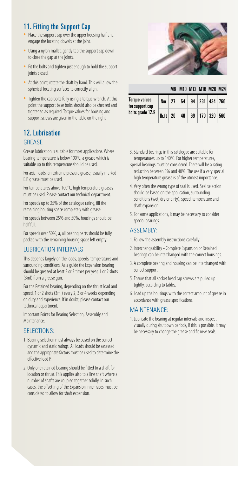## 11. Fitting the Support Cap

- Place the support cap over the upper housing half and engage the locating dowels at the joint.
- Using a nylon mallet, gently tap the support cap down to close the gap at the joints.
- Fit the bolts and tighten just enough to hold the support joints closed.
- At this point, rotate the shaft by hand. This will allow the spherical locating surfaces to correctly align.
- Tighten the cap bolts fully using a torque wrench. At this point the support base bolts should also be checked and tightened as required. Torque values for housing and support screws are given in the table on the right.

#### 12. Lubrication **GREASE**

Grease lubrication is suitable for most applications. Where bearing temperature is below 100°C, a grease which is suitable up to this temperature should be used.

For axial loads, an extreme pressure grease, usually marked E.P. grease must be used.

For temperatures above 100°C, high temperature greases must be used. Please contact our technical department.

For speeds up to 25% of the catalogue rating, fill the remaining housing space completely with grease.

For speeds between 25% and 50%, housings should be half full.

For speeds over 50%, a, all bearing parts should be fully packed with the remaining housing space left empty.

#### LUBRICATION INTERVALS

This depends largely on the loads, speeds, temperatures and surrounding conditions. As a guide the Expansion bearing should be greased at least 2 or 3 times per year, 1 or 2 shots (3ml) from a grease gun.

For the Retained bearing, depending on the thrust load and speed, 1 or 2 shots (3ml) every 2, 3 or 4 weeks depending on duty and experience. If in doubt, please contact our technical department.

Important Points for Bearing Selection, Assembly and Maintenance:-

#### SELECTIONS:

- 1. Bearing selection must always be based on the correct dynamic and static ratings. All loads should be assessed and the appropriate factors must be used to determine the effective load P.
- 2. Only one retained bearing should be fitted to a shaft for location or thrust. This applies also to a line shaft where a number of shafts are coupled together solidly. In such cases, the offsetting of the Expansion inner races must be considered to allow for shaft expansion.



|                                  |                       | M8 |    |    | M10 M12 M16 M20 M24  |  |
|----------------------------------|-----------------------|----|----|----|----------------------|--|
| Torque values<br>for support cap | <b>Nm</b>             | 27 | 54 |    | 94   231   434   760 |  |
| bolts grade 12.9                 | $\vert h.ft \vert 20$ |    | 40 | 69 | 170   320   560      |  |

- 3. Standard bearings in this catalogue are suitable for temperatures up to 140°C. For higher temperatures,
- special bearings must be considered. There will be a rating reduction between 5% and 40%. The use if a very special high temperature grease is of the utmost importance.
- 4. Very often the wrong type of seal is used. Seal selection should be based on the application, surrounding conditions (wet, dry or dirty), speed, temperature and shaft expansion.
- 5. For some applications, it may be necessary to consider special bearings.

#### ASSEMBLY:

- 1. Follow the assembly instructions carefully
- 2. Interchangeability Complete Expansion or Retained bearings can be interchanged with the correct housings.
- 3. A complete bearing and housing can be interchanged with correct support.
- 5. Ensure that all socket head cap screws are pulled up tightly, according to tables.
- 6. Load up the housings with the correct amount of grease in accordance with grease specifications.

#### **MAINTENANCE**

1. Lubricate the bearing at regular intervals and inspect visually during shutdown periods, if this is possible. It may be necessary to change the grease and fit new seals.